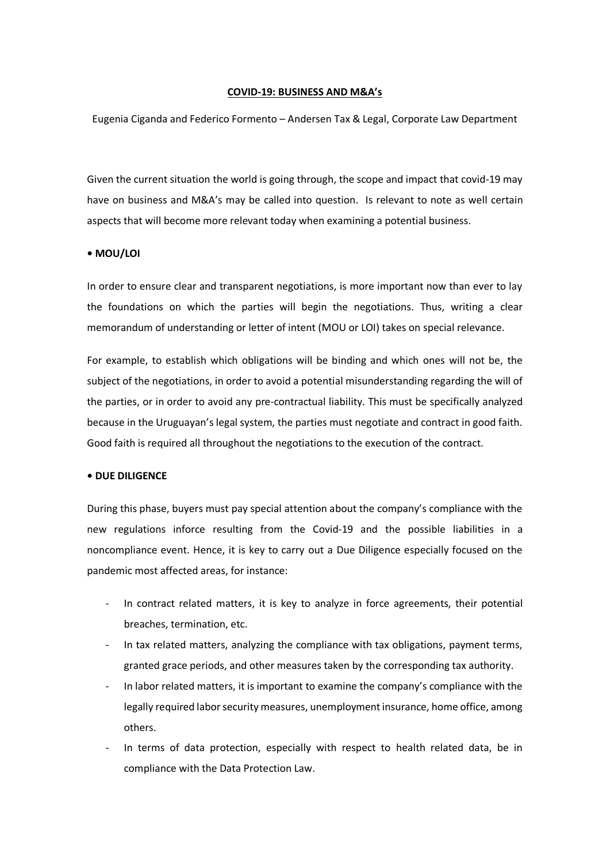### **COVID-19: BUSINESS AND M&A's**

Eugenia Ciganda and Federico Formento – Andersen Tax & Legal, Corporate Law Department

Given the current situation the world is going through, the scope and impact that covid-19 may have on business and M&A's may be called into question. Is relevant to note as well certain aspects that will become more relevant today when examining a potential business.

### **• MOU/LOI**

In order to ensure clear and transparent negotiations, is more important now than ever to lay the foundations on which the parties will begin the negotiations. Thus, writing a clear memorandum of understanding or letter of intent (MOU or LOI) takes on special relevance.

For example, to establish which obligations will be binding and which ones will not be, the subject of the negotiations, in order to avoid a potential misunderstanding regarding the will of the parties, or in order to avoid any pre-contractual liability. This must be specifically analyzed because in the Uruguayan's legal system, the parties must negotiate and contract in good faith. Good faith is required all throughout the negotiations to the execution of the contract.

### **• DUE DILIGENCE**

During this phase, buyers must pay special attention about the company's compliance with the new regulations inforce resulting from the Covid-19 and the possible liabilities in a noncompliance event. Hence, it is key to carry out a Due Diligence especially focused on the pandemic most affected areas, for instance:

- In contract related matters, it is key to analyze in force agreements, their potential breaches, termination, etc.
- In tax related matters, analyzing the compliance with tax obligations, payment terms, granted grace periods, and other measures taken by the corresponding tax authority.
- In labor related matters, it is important to examine the company's compliance with the legally required labor security measures, unemployment insurance, home office, among others.
- In terms of data protection, especially with respect to health related data, be in compliance with the Data Protection Law.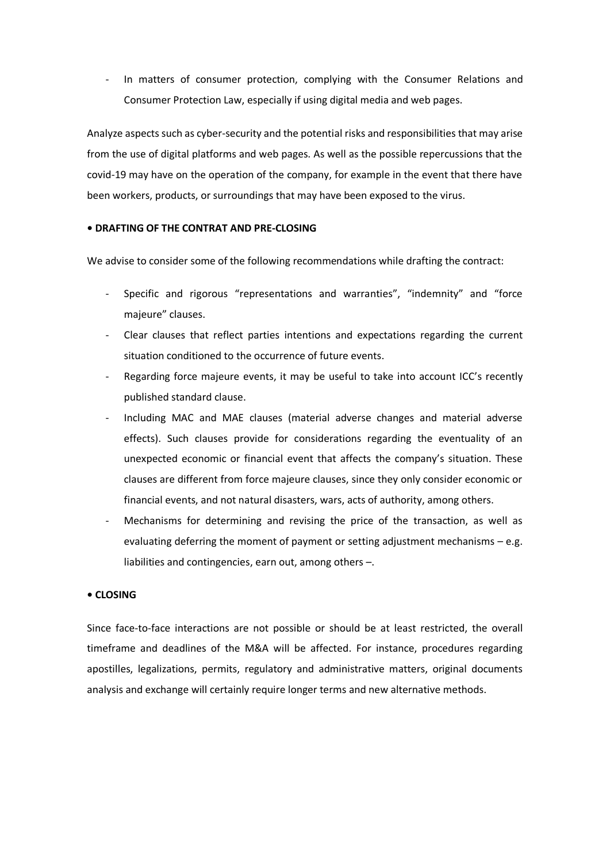- In matters of consumer protection, complying with the Consumer Relations and Consumer Protection Law, especially if using digital media and web pages.

Analyze aspects such as cyber-security and the potential risks and responsibilities that may arise from the use of digital platforms and web pages. As well as the possible repercussions that the covid-19 may have on the operation of the company, for example in the event that there have been workers, products, or surroundings that may have been exposed to the virus.

# **• DRAFTING OF THE CONTRAT AND PRE-CLOSING**

We advise to consider some of the following recommendations while drafting the contract:

- Specific and rigorous "representations and warranties", "indemnity" and "force majeure" clauses.
- Clear clauses that reflect parties intentions and expectations regarding the current situation conditioned to the occurrence of future events.
- Regarding force majeure events, it may be useful to take into account ICC's recently published standard clause.
- Including MAC and MAE clauses (material adverse changes and material adverse effects). Such clauses provide for considerations regarding the eventuality of an unexpected economic or financial event that affects the company's situation. These clauses are different from force majeure clauses, since they only consider economic or financial events, and not natural disasters, wars, acts of authority, among others.
- Mechanisms for determining and revising the price of the transaction, as well as evaluating deferring the moment of payment or setting adjustment mechanisms – e.g. liabilities and contingencies, earn out, among others –.

# **• CLOSING**

Since face-to-face interactions are not possible or should be at least restricted, the overall timeframe and deadlines of the M&A will be affected. For instance, procedures regarding apostilles, legalizations, permits, regulatory and administrative matters, original documents analysis and exchange will certainly require longer terms and new alternative methods.